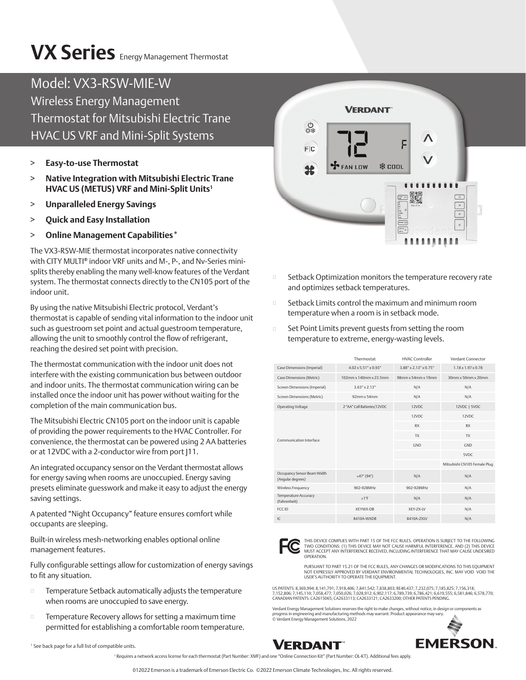# **VX Series** Energy Management Thermostat

### Model: VX3-RSW-MIE-W

Wireless Energy Management Thermostat for Mitsubishi Electric Trane HVAC US VRF and Mini-Split Systems

- > **Easy-to-use Thermostat**
- > **Native Integration with Mitsubishi Electric Trane HVAC US (METUS) VRF and Mini-Split Units1**
- > **Unparalleled Energy Savings**
- > **Quick and Easy Installation**
- > **Online Management Capabilities\***

The VX3-RSW-MIE thermostat incorporates native connectivity with CITY MULTI**®** indoor VRF units and M-, P-, and Nv-Series minisplits thereby enabling the many well-know features of the Verdant system. The thermostat connects directly to the CN105 port of the indoor unit.

By using the native Mitsubishi Electric protocol, Verdant's thermostat is capable of sending vital information to the indoor unit such as guestroom set point and actual guestroom temperature, allowing the unit to smoothly control the flow of refrigerant, reaching the desired set point with precision.

The thermostat communication with the indoor unit does not interfere with the existing communication bus between outdoor and indoor units. The thermostat communication wiring can be installed once the indoor unit has power without waiting for the completion of the main communication bus.

The Mitsubishi Electric CN105 port on the indoor unit is capable of providing the power requirements to the HVAC Controller. For convenience, the thermostat can be powered using 2 AA batteries or at 12VDC with a 2-conductor wire from port J11.

An integrated occupancy sensor on the Verdant thermostat allows for energy saving when rooms are unoccupied. Energy saving presets eliminate guesswork and make it easy to adjust the energy saving settings.

A patented "Night Occupancy" feature ensures comfort while occupants are sleeping.

Built-in wireless mesh-networking enables optional online management features.

Fully configurable settings allow for customization of energy savings to fit any situation.

- $\square$  Temperature Setback automatically adjusts the temperature when rooms are unoccupied to save energy.
- **EXECOVERY EXECOVERY Allows for setting a maximum time** permitted for establishing a comfortable room temperature.

1 See back page for a full list of compatible units.

**VERDANT**  $\frac{0}{100}$  $F|C$ **FAN LOW ※ COOL**  $\overline{\mathbf{R}}$  $\overline{M}$ 

- Setback Optimization monitors the temperature recovery rate and optimizes setback temperatures.
- Setback Limits control the maximum and minimum room temperature when a room is in setback mode.
- $\square$  Set Point Limits prevent quests from setting the room temperature to extreme, energy-wasting levels.

|                                                  | Thermostat                           | HVAC Controller                   | Verdant Connector              |
|--------------------------------------------------|--------------------------------------|-----------------------------------|--------------------------------|
| Case Dimensions (Imperial)                       | $4.02 \times 5.51$ " $\times 0.93$ " | $3.88" \times 2.13" \times 0.75"$ | $1.18 \times 1.97 \times 0.78$ |
| Case Dimensions (Metric)                         | 102mm x 140mm x 23.5mm               | 98mm x 54mm x 19mm                | $30$ mm x $50$ mm x $20$ mm    |
| Screen Dimensions (Imperial)                     | $3.63" \times 2.13"$                 | N/A                               | N/A                            |
| Screen Dimensions (Metric)                       | $92$ mm x 54mm                       | N/A                               | N/A                            |
| Operating Voltage                                | 2 "AA" Cell Batteries/12VDC          | 12VDC                             | 12VDC   5VDC                   |
| Communication Interface                          |                                      | 12VDC                             | 12VDC                          |
|                                                  |                                      | <b>RX</b>                         | <b>RX</b>                      |
|                                                  |                                      | <b>TX</b>                         | <b>TX</b>                      |
|                                                  |                                      | GND                               | GND                            |
|                                                  |                                      |                                   | 5VDC                           |
|                                                  |                                      |                                   | Mitsubishi CN105 Female Plug   |
| Occupancy Sensor Beam Width<br>(Angular degrees) | ±47°(94°)                            | N/A                               | N/A                            |
| Wireless Frequency                               | 902-928MHz                           | 902-928MHz                        | N/A                            |
| Temperature Accuracy<br>(Fahrenheit)             | ±1°F                                 | N/A                               | N/A                            |
| FCC ID                                           | XEYWX-DB                             | XEY-ZX-LV                         | N/A                            |
| IC                                               | 8410A-WXDB                           | 8410A-ZXLV                        | N/A                            |



THIS DEVICE COMPLIES WITH PART 15 OF THE FCC RULES. OPERATION IS SUBJECT TO THE FOLLOWING<br>TWO CONDITIONS: (1) THIS DEVICE MAY NOT CAUSE HARMFUL INTERFERENCE, AND (2) THIS DEVICE<br>MUST ACCEPT ANY INTERFERENCE RECEIVED, INCLU OPERATION.

PURSUANT TO PART 15.21 OF THE FCC RULES, ANY CHANGES OR MODIFICATIONS TO THIS EQUIPMENT NOT EXPRESSLY APPROVED BY VERDANT ENVIRONMENTAL TECHNOLOGIES, INC. MAY VOID VOID THE USER'S AUTHORITY TO OPERATE THE EQUIPMENT.

US PATENTS: 8,369,994; 8,141,791; 7,918,406; 7,841,542; 7,838,803; RE40,437; 7,232,075; 7,185,825; 7,156,318; 7,152,806; 7,145,110; 7,058,477; 7,050,026; 7,028,912; 6,902,117; 6,789,739; 6,786,421; 6,619,555; 6,581,846; 6,578,770;<br>CANADIAN PATENTS: CA2615065; CA2633113; CA2633121; CA2633200; OTHER PATENTS PENDING.

Verdant Energy Management Solutions reserves the right to make changes, without notice, in design or components as<br>progress in engineering and manufacturing methods may warrant. Product appearance may vary.<br>© Verdant Energ



VERDANT

1 Requires a network access license for each thermostat (Part Number: XMF) and one "Online Connection Kit" (Part Number: OL-KT). Additional fees apply.